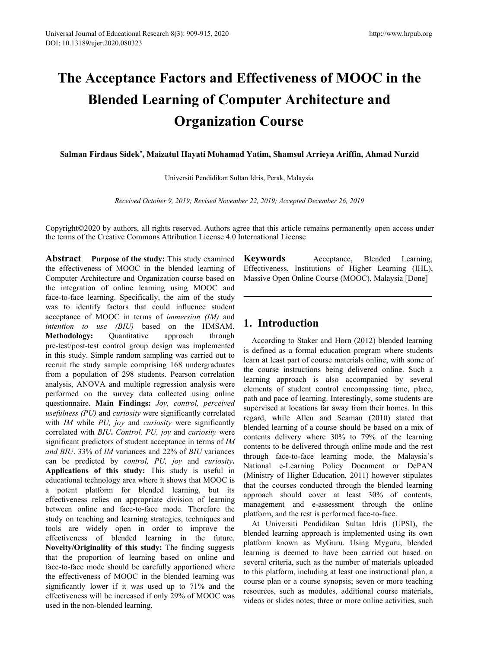# **The Acceptance Factors and Effectiveness ofMOOC in the Blended Learning of Computer Architecture and Organization Course** *Received October 9, 2019; Revised November 22, 2019; Accepted December 26, 2019***<br>
<b>Received October 9, 2019; Revised November 22, 2019; Accepted December 26, 2019**<br> **Received October 9, 2019; Revised November 22, 2019; A**

**Salman Firdaus Sidek \* , Maizatul Hayati Mohamad Yatim, Shamsul Arrieya Ariffin, Ahmad Nurzid**

Universiti Pendidikan Sultan Idris, Perak, Malaysia

Copyright©2020 by authors, all rights reserved. Authors agree that this article remains permanently open access under the terms of the Creative Commons Attribution License 4.0 International License

**Abstract Purpose of the study:** This study examined the effectiveness of MOOC in the blended learning of Computer Architecture and Organization course based on the integration of online learning using MOOC and face-to-face learning. Specifically, the aim of the study was to identify factors that could influence student acceptance of MOOC in terms of *immersion (IM)* and *intention to use (BIU)* based on the HMSAM. **Methodology:** Quantitative approach through pre-test/post-test control group design was implemented in this study. Simple random sampling was carried out to recruit the study sample comprising 168 undergraduates from a population of 298 students. Pearson correlation analysis, ANOVA and multiple regression analysis were performed on the survey data collected using online questionnaire. **Main Findings:** *Joy, control, perceived usefulness (PU)* and *curiosity* were significantly correlated with *IM* while *PU, joy* and *curiosity* were significantly correlated with *BIU***.** *Control, PU, joy* and *curiosity* were significant predictors of student acceptance in terms of*IM and BIU*. 33% of *IM* variances and 22% of *BIU* variances can be predicted by *control, PU, joy* and *curiosity***. Applications of this study:** This study is useful in educational technology area where it shows that MOOC is a potent platform for blended learning, but its effectiveness relies on appropriate division of learning between online and face-to-face mode. Therefore the study on teaching and learning strategies, techniques and tools are widely open in order to improve the effectiveness of blended learning in the future. **Novelty/Originality of this study:** The finding suggests that the proportion of learning based on online and face-to-face mode should be carefully apportioned where the effectiveness of MOOC in the blended learning was significantly lower if it was used up to 71% and the effectiveness will be increased if only 29% of MOOC was used in the non-blended learning.

**Keywords** Acceptance, Blended Learning, Effectiveness, Institutions of Higher Learning (IHL), Massive Open Online Course (MOOC), Malaysia [Done]

## **1. Introduction**

According to Staker and Horn (2012) blended learning is defined as a formal education program where students learn at least part of course materials online, with some of the course instructions being delivered online. Such a learning approach is also accompanied by several elements of student control encompassing time, place, path and pace of learning. Interestingly, some students are supervised at locations far away from their homes. In this regard, while Allen and Seaman (2010) stated that blended learning of a course should be based on a mix of contents delivery where 30% to 79% of the learning contents to be delivered through online mode and the rest through face-to-face learning mode, the Malaysia's National e-Learning Policy Document or DePAN (Ministry of Higher Education, 2011) however stipulates that the courses conducted through the blended learning approach should cover at least 30% of contents, management and e-assessment through the online platform, and the rest is performed face-to-face.

At Universiti Pendidikan Sultan Idris (UPSI), the blended learning approach is implemented using its own platform known as MyGuru. Using Myguru, blended learning is deemed to have been carried out based on several criteria, such as the number of materials uploaded to this platform, including at least one instructional plan, a course plan or a course synopsis; seven or more teaching resources, such as modules, additional course materials, videos or slides notes; three or more online activities, such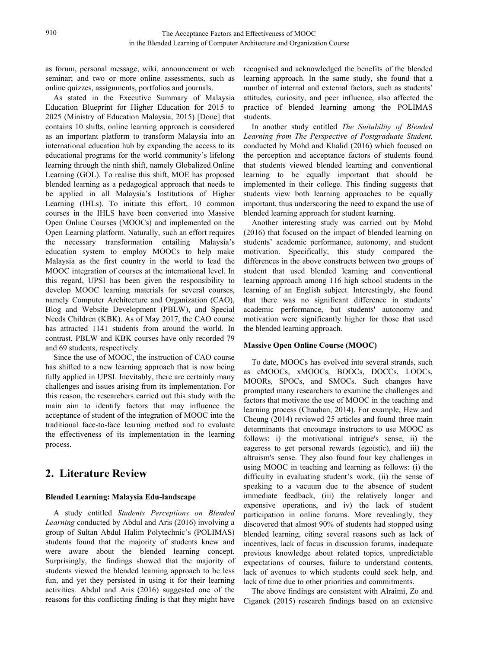as forum, personal message, wiki, announcement or web seminar; and two or more online assessments, such as online quizzes, assignments, portfolios and journals.

As stated in the Executive Summary of Malaysia Education Blueprint for Higher Education for 2015 to 2025 (Ministry of Education Malaysia, 2015) [Done] that contains 10 shifts, online learning approach is considered as an important platform to transform Malaysia into an international education hub by expanding the access to its educational programs for the world community's lifelong learning through the ninth shift, namely Globalized Online Learning (GOL). To realise this shift, MOE has proposed blended learning as a pedagogical approach that needs to be applied in all Malaysia's Institutions of Higher Learning (IHLs). To initiate this effort, 10 common courses in the IHLS have been converted into Massive Open Online Courses (MOOCs) and implemented on the Open Learning platform. Naturally, such an effort requires the necessary transformation entailing Malaysia's education system to employ MOOCs to help make Malaysia as the first country in the world to lead the MOOC integration of courses at the international level. In this regard, UPSI has been given the responsibility to develop MOOC learning materials for several courses, namely Computer Architecture and Organization (CAO), Blog and Website Development (PBLW), and Special Needs Children (KBK). As of May 2017, the CAO course has attracted 1141 students from around the world. In contrast, PBLW and KBK courses have only recorded 79 and 69 students, respectively.

Since the use of MOOC, the instruction of CAO course has shifted to a new learning approach that is now being fully applied in UPSI. Inevitably, there are certainly many challenges and issues arising from its implementation. For this reason, the researchers carried out this study with the main aim to identify factors that may influence the acceptance of student of the integration of MOOC into the traditional face-to-face learning method and to evaluate the effectiveness of its implementation in the learning process.

# **2. Literature Review**

#### **Blended Learning: Malaysia Edu-landscape**

A study entitled *Students Perceptions on Blended Learning* conducted by Abdul and Aris (2016) involving a group of Sultan Abdul Halim Polytechnic's (POLIMAS) students found that the majority of students knew and were aware about the blended learning concept. Surprisingly, the findings showed that the majority of students viewed the blended learning approach to be less fun, and yet they persisted in using it for their learning activities. Abdul and Aris (2016) suggested one of the reasons for this conflicting finding is that they might have recognised and acknowledged the benefits of the blended learning approach. In the same study, she found that a number of internal and external factors, such as students' attitudes, curiosity, and peer influence, also affected the practice of blended learning among the POLIMAS students.

In another study entitled *The Suitability of Blended Learning from The Perspective of Postgraduate Student,*conducted by Mohd and Khalid (2016) which focused on the perception and acceptance factors of students found that students viewed blended learning and conventional learning to be equally important that should be implemented in their college. This finding suggests that students view both learning approaches to be equally important, thus underscoring the need to expand the use of blended learning approach for student learning.

Another interesting study was carried out by Mohd (2016) that focused on the impact of blended learning on students' academic performance, autonomy, and student motivation. Specifically, this study compared the differences in the above constructs between two groups of student that used blended learning and conventional learning approach among 116 high school students in the learning of an English subject. Interestingly, she found that there was no significant difference in students' academic performance, but students' autonomy and motivation were significantly higher for those that used the blended learning approach.

#### **Massive Open Online Course (MOOC)**

To date, MOOCs has evolved into several strands, such as cMOOCs, xMOOCs, BOOCs, DOCCs, LOOCs, MOORs, SPOCs, and SMOCs. Such changes have prompted many researchers to examine the challenges and factors that motivate the use of MOOC in the teaching and learning process (Chauhan, 2014). For example, Hew and Cheung (2014) reviewed 25 articles and found three main determinants that encourage instructors to use MOOC as follows: i) the motivational intrigue's sense, ii) the eageress to get personal rewards (egoistic), and iii) the altruism's sense. They also found four key challenges in using MOOC in teaching and learning as follows: (i) the difficulty in evaluating student's work, (ii) the sense of speaking to a vacuum due to the absence of student immediate feedback, (iii) the relatively longer and expensive operations, and iv) the lack of student participation in online forums. More revealingly, they discovered that almost 90% of students had stopped using blended learning, citing several reasons such as lack of incentives, lack of focus in discussion forums, inadequate previous knowledge about related topics, unpredictable expectations of courses, failure to understand contents, lack of avenues to which students could seek help, and lack of time due to other priorities and commitments.

The above findings are consistent with Alraimi, Zo and Ciganek (2015) research findings based on an extensive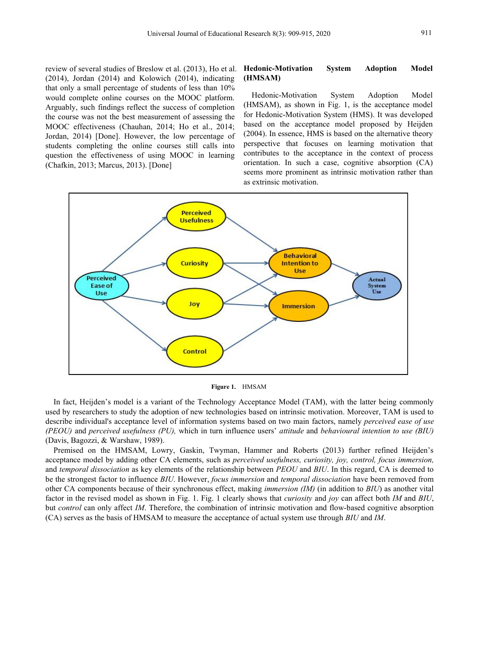review of several studies of Breslow et al. (2013), Ho et al.  $(2014)$ , Jordan  $(2014)$  and Kolowich  $(2014)$ , indicating that only a small percentage of students of less than 10%<br>would complete online courses on the MOOC platform Hedonic-Motivation System would complete online courses on the MOOC platform. Arguably, such findings reflect the success of completion the course was not the best measurement of assessing the MOOC effectiveness (Chauhan, 2014; Ho et al., 2014; Jordan, 2014) [Done]. However, the low percentage of students completing the online courses still calls into question the effectiveness of using MOOC in learning (Chafkin, 2013; Marcus, 2013). [Done]

#### **Hedonic-Motivation System Adoption Model (HMSAM)**

Hedonic-Motivation System Adoption Model (HMSAM), as shown in Fig. 1, is the acceptance model for Hedonic-Motivation System (HMS). It was developed based on the acceptance model proposed by Heijden (2004). In essence, HMS is based on the alternative theory perspective that focuses on learning motivation that contributes to the acceptance in the context of process orientation. In such a case, cognitive absorption (CA) seems more prominent as intrinsic motivation rather than as extrinsic motivation.



**Figure 1.** HMSAM

In fact, Heijden's model is a variant of the Technology Acceptance Model (TAM), with the latter being commonly used by researchers to study the adoption of new technologies based on intrinsic motivation. Moreover, TAM is used to describe individual's acceptance level of information systems based on two main factors, namely *perceived ease of use (PEOU)* and *perceived usefulness (PU),*which in turn influence users' *attitude* and *behavioural intention to use (BIU)* (Davis, Bagozzi, & Warshaw, 1989).

Premised on the HMSAM, Lowry, Gaskin, Twyman, Hammer and Roberts (2013) further refined Heijden's acceptance model by adding other CA elements, such as *perceived usefulness,curiosity, joy, control, focus immersion,* and *temporal dissociation* as key elements of the relationship between *PEOU* and *BIU*. In this regard, CA is deemed to be the strongest factor to influence *BIU*. However, *focus immersion* and *temporal dissociation* have been removed from other CA components because of their synchronous effect, making *immersion (IM)* (in addition to *BIU*) as another vital factor in the revised model as shown in Fig. 1. Fig. 1 clearly shows that *curiosity* and *joy* can affect both *IM* and *BIU*, but *control* can only affect *IM*. Therefore, the combination of intrinsic motivation and flow-based cognitive absorption (CA) serves as the basis of HMSAM to measure the acceptance of actual system use through *BIU* and *IM*.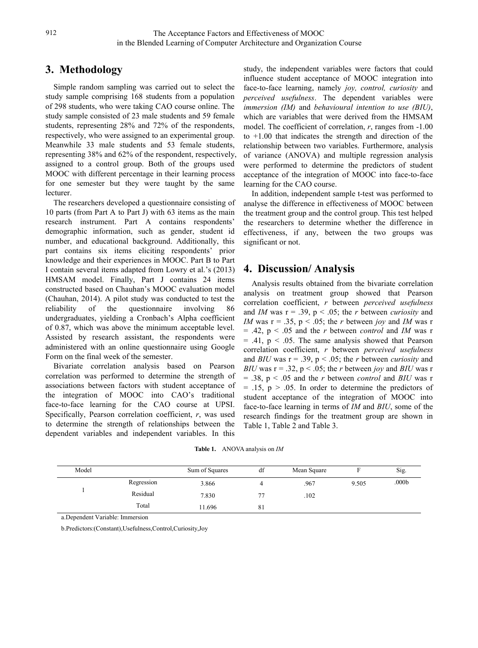# **3. Methodology**

Simple random sampling was carried out to select the study sample comprising 168 students from a population of 298 students, who were taking CAO course online. The study sample consisted of 23 male students and 59 female students, representing 28% and 72% of the respondents, respectively, who were assigned to an experimental group. Meanwhile 33 male students and 53 female students, representing 38% and 62% of the respondent, respectively, assigned to a control group. Both of the groups used MOOC with different percentage in their learning process for one semester but they were taught by the same lecturer.

The researchers developed a questionnaire consisting of 10 parts (from Part A to Part J) with 63 items as the main research instrument. Part A contains respondents' demographic information, such as gender, student id number, and educational background. Additionally, this part contains six items eliciting respondents' prior knowledge and their experiences in MOOC. Part B to Part I contain several items adapted from Lowry et al.'s (2013) HMSAM model. Finally, Part J contains 24 items constructed based on Chauhan's MOOC evaluation model (Chauhan, 2014). A pilot study was conducted to test the reliability of the questionnaire involving  $86$  and *IM* was  $r = .39$ ,  $p < .05$ ; the *r* between *curiosity* and undergraduates, yielding a Cronbach's Alpha coefficient of 0.87, which was above the minimum acceptable level. Assisted by research assistant, the respondents were administered with an online questionnaire using Google Form on the final week of the semester.

Bivariate correlation analysis based on Pearson correlation was performed to determine the strength of associations between factors with student acceptance of the integration of MOOC into CAO's traditional face-to-face learning for the CAO course at UPSI. Specifically, Pearson correlation coefficient, *r*, was used to determine the strength of relationships between the dependent variables and independent variables. In this

study, the independent variables were factors that could influence student acceptance of MOOC integration into face-to-face learning, namely *joy, control, curiosity* and *perceived usefulness*. The dependent variables were *immersion (IM)* and *behavioural intention to use (BIU)*, which are variables that were derived from the HMSAM model. The coefficient of correlation, *r*, ranges from -1.00 to +1.00 that indicates the strength and direction of the relationship between two variables. Furthermore, analysis of variance (ANOVA) and multiple regression analysis were performed to determine the predictors of student acceptance of the integration of MOOC into face-to-face learning for the CAO course.

In addition, independent sample t-test was performed to analyse the difference in effectiveness of MOOC between the treatment group and the control group. This test helped the researchers to determine whether the difference in effectiveness, if any, between the two groups was significant or not.

# **4. Discussion/ Analysis**

Analysis results obtained from the bivariate correlation analysis on treatment group showed that Pearson correlation coefficient, *r* between *perceived usefulness IM* was  $r = .35$ ,  $p < .05$ ; the *r* between *joy* and *IM* was r = .42, p < .05 and the *r* between *control* and *IM* was r  $=$  .41,  $p < .05$ . The same analysis showed that Pearson correlation coefficient, *r* between *perceived usefulness* and *BIU* was  $r = .39$ ,  $p < .05$ ; the *r* between *curiosity* and *BIU* was  $r = .32$ ,  $p < .05$ ; the *r* between *joy* and *BIU* was r = .38, p < .05 and the *r* between *control* and *BIU* was r  $= .15$ ,  $p > .05$ . In order to determine the predictors of student acceptance of the integration of MOOC into face-to-face learning in terms of *IM* and *BIU*, some of the research findings for the treatment group are shown in Table 1, Table 2 and Table 3.

| Model |            | Sum of Squares | df             | Mean Square |       | Sig.              |
|-------|------------|----------------|----------------|-------------|-------|-------------------|
|       | Regression | 3.866          |                | .967        | 9.505 | .000 <sub>b</sub> |
|       | Residual   | 7.830          | $\overline{a}$ | .102        |       |                   |
|       | Total      | 1.696          | $\delta$ 1     |             |       |                   |

**Table 1.** ANOVA analysis on *IM*

a.Dependent Variable: Immersion

b.Predictors:(Constant),Usefulness,Control,Curiosity,Joy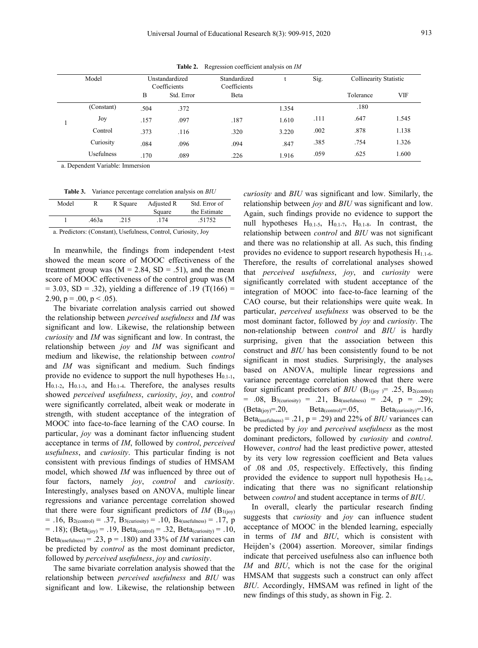Model Unstandardized nstandardized Standardized t S<br>
Coefficients Coefficients Coefficients t Sig. Collinearity Statistic B Std. Error Beta  $\qquad \qquad$  Beta Tolerance VIF  $1 \qquad \qquad$ (Constant) .504 .372 1.354 .180 Joy .157 .097 .187 .1610 .111 .111 .647 1.545 Control 373  $.373$   $.116$   $.320$   $.3220$   $.002$ .002 .878 1.138 Curiosity .084 .096 .094 .847 .385 .385 .754 1.326 Usefulness .170 .089 .226 1.916 .059 .059 .625 1.600

**Table 2.** Regression coefficient analysis on *IM*

a. Dependent Variable: Immersion

| <b>Table 3.</b><br>Variance percentage correlation analysis on <i>BIU</i> |  |
|---------------------------------------------------------------------------|--|
|---------------------------------------------------------------------------|--|

| Std. Error of<br>Model<br>Adjusted R<br>R Square<br>the Estimate<br>Square<br>.463a |        |              |         |
|-------------------------------------------------------------------------------------|--------|--------------|---------|
|                                                                                     |        |              | relatio |
|                                                                                     |        |              | Again   |
|                                                                                     | .51752 | .174<br>.215 | min11   |

a. Predictors: (Constant), Usefulness, Control, Curiosity, Joy

showed the mean score of MOOC effectiveness of the treatment group was  $(M = 2.84, SD = .51)$ , and the mean score of MOOC effectiveness of the control group was (M  $= 3.03$ , SD = .32), yielding a difference of .19 (T(166) = 2.90,  $p = .00$ ,  $p < .05$ ).

The bivariate correlation analysis carried out showed the relationship between *perceived usefulness* and *IM* was significant and low. Likewise, the relationship between *curiosity* and *IM* was significant and low. In contrast, the relationship between *joy* and *IM* was significant and medium and likewise, the relationship between *control* and *IM* was significant and medium. Such findings provide no evidence to support the null hypotheses  $H_{0,1-1}$ ,  $H<sub>0.1-2</sub>$ ,  $H<sub>0.1-3</sub>$ , and  $H<sub>0.1-4</sub>$ . Therefore, the analyses results showed *perceived usefulness*, *curiosity*, *joy*, and *control* were significantly correlated, albeit weak or moderate in  $(Beta_{(iov)} = .20,$ strength, with student acceptance of the integration of MOOC into face-to-face learning of the CAO course. In particular, *joy* was a dominant factor influencing student acceptance in terms of *IM*, followed by *control*,*perceived usefulness*, and *curiosity*. This particular finding is not consistent with previous findings of studies of HMSAM model, which showed *IM* was influenced by three out of four factors, namely *joy*, *control* and *curiosity*. Interestingly, analyses based on ANOVA, multiple linear regressions and variance percentage correlation showed that there were four significant predictors of  $IM$  (B<sub>1(joy)</sub>  $= .16$ ,  $B_{2(control)} = .37$ ,  $B_{3(curiosity)} = .10$ ,  $B_{4(usefulness)} = .17$ , p  $= .18$ ); (Beta<sub>(joy)</sub>  $= .19$ , Beta<sub>(control)</sub>  $= .32$ , Beta<sub>(curiosity)</sub>  $= .10$ , Beta<sub>(usefulness)</sub> = .23,  $p = .180$ ) and 33% of *IM* variances can be predicted by *control* as the most dominant predictor, followed by *perceived usefulness*, *joy* and *curiosity*.

The same bivariate correlation analysis showed that the relationship between *perceived usefulness* and *BIU* was significant and low. Likewise, the relationship between

**Table 3.** Variance percentage correlation analysis on *BIU curiosity* and *BIU* was significant and low. Similarly, the the Estimate Again, such findings provide no evidence to support the 1 .463a .215 .174 .51752 null hypotheses  $H_{0.1-5}$ ,  $H_{0.1-7}$ ,  $H_{0.1-8}$ . In contrast, the In meanwhile, the findings from independent t-test provides no evidence to support research hypothesis  $H_{1,1-6}$ . relationship between *joy* and *BIU* was significant and low. relationship between *control* and *BIU* was not significant and there was no relationship at all. As such, this finding Therefore, the results of correlational analyses showed that *perceived usefulness*, *joy*, and *curiosity* were significantly correlated with student acceptance of the integration of MOOC into face-to-face learning of the CAO course, but their relationships were quite weak. In particular, *perceived usefulness* was observed to be the most dominant factor, followed by *joy* and *curiosity*. The non-relationship between *control* and *BIU* is hardly surprising, given that the association between this construct and *BIU* has been consistently found to be not significant in most studies. Surprisingly, the analyses based on ANOVA, multiple linear regressions and variance percentage correlation showed that there were four significant predictors of *BIU* ( $B_{1(joy)} = .25$ ,  $B_{2(control)}$  $= .08, B_{3(curosity)} = .21, B_{4(usefulness)} = .24, p = .29);$  $Beta_{(control)} = .05$ ,  $Beta_{(curiosity)} = .16$ , Beta<sub>(usefulness)</sub> = .21,  $p = .29$ ) and 22% of *BIU* variances can be predicted by *joy* and *perceived usefulness* as the most dominant predictors, followed by *curiosity* and *control*. However, *control* had the least predictive power, attested by its very low regression coefficient and Beta values of .08 and .05, respectively. Effectively, this finding provided the evidence to support null hypothesis  $H<sub>0.1-6</sub>$ , indicating that there was no significant relationship between *control* and student acceptance in terms of *BIU*.

> In overall, clearly the particular research finding suggests that*curiosity* and *joy* can influence student acceptance of MOOC in the blended learning, especially in terms of *IM* and *BIU*, which is consistent with Heijden's (2004) assertion. Moreover, similar findings indicate that perceived usefulness also can influence both *IM* and *BIU*, which is not the case for the original HMSAM that suggests such a construct can only affect *BIU*. Accordingly, HMSAM was refined in light of the new findings of this study, as shown in Fig. 2.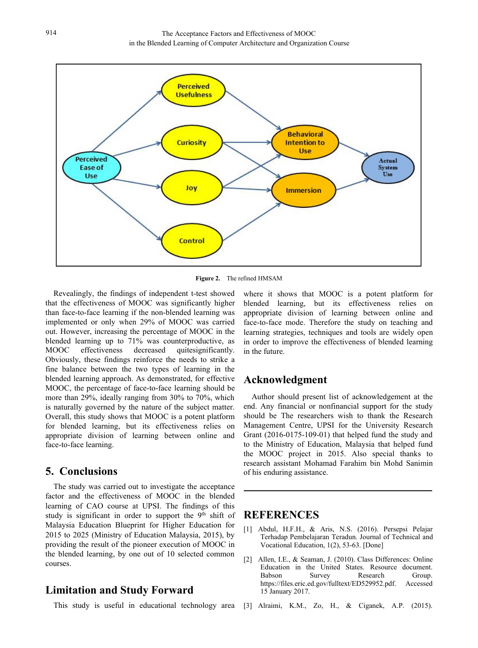

**Figure 2.** The refined HMSAM

Revealingly, the findings of independent t-test showed that the effectiveness of MOOC was significantly higher than face-to-face learning if the non-blended learning was implemented or only when 29% of MOOC was carried out. However, increasing the percentage of MOOC in the blended learning up to 71% was counterproductive, as MOOC effectiveness decreased quitesignificantly. Obviously, these findings reinforce the needs to strike a fine balance between the two types of learning in the blended learning approach. As demonstrated, for effective MOOC, the percentage of face-to-face learning should be more than 29%, ideally ranging from 30% to 70%, which is naturally governed by the nature of the subject matter. Overall, this study shows that MOOC is a potent platform for blended learning, but its effectiveness relies on appropriate division of learning between online and face-to-face learning.

## **5. Conclusions**

The study was carried out to investigate the acceptance factor and the effectiveness of MOOC in the blended learning of CAO course at UPSI. The findings of this study is significant in order to support the 9<sup>th</sup> shift of Malaysia Education Blueprint for Higher Education for 2015 to 2025 (Ministry of Education Malaysia, 2015), by providing the result of the pioneer execution of MOOC in the blended learning, by one out of 10 selected common  $\begin{bmatrix} 2 \end{bmatrix}$ courses.

## **Limitation and Study Forward**

This study is useful in educational technology area

where it shows that MOOC is a potent platform for blended learning, but its effectiveness relies on appropriate division of learning between online and face-to-face mode. Therefore the study on teaching and learning strategies, techniques and tools are widely open in order to improve the effectiveness of blended learning in the future.

#### **Acknowledgment**

Author should present list of acknowledgement at the end. Any financial or nonfinancial support for the study should be The researchers wish to thank the Research Management Centre, UPSI for the University Research Grant (2016-0175-109-01) that helped fund the study and to the Ministry of Education, Malaysia that helped fund the MOOC project in 2015. Also special thanks to research assistant Mohamad Farahim bin Mohd Sanimin of his enduring assistance.

## th shift of **REFERENCES**

- [1] Abdul, H.F.H., & Aris, N.S. (2016). Persepsi Pelajar Terhadap Pembelajaran Teradun. Journal of Technical and Vocational Education, 1(2), 53-63. [Done]
- Allen, I.E., & Seaman, J. (2010). Class Differences: Online Education in the United States. Resource document.<br>Babson Survey Research Group. Survey Research Group. [https://files.eric.ed.gov/fulltext/ED529952.pdf.](https://files.eric.ed.gov/fulltext/ED529952.pdf) Accessed 15 January 2017.
- [3] Alraimi, K.M., Zo, H., & Ciganek, A.P. (2015).